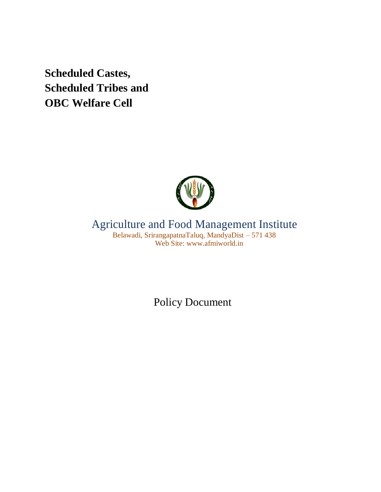**Scheduled Castes, Scheduled Tribes and OBC Welfare Cell**



# Agriculture and Food Management Institute

Belawadi, SrirangapatnaTaluq, MandyaDist – 571 438 Web Site: www.afmiworld.in

Policy Document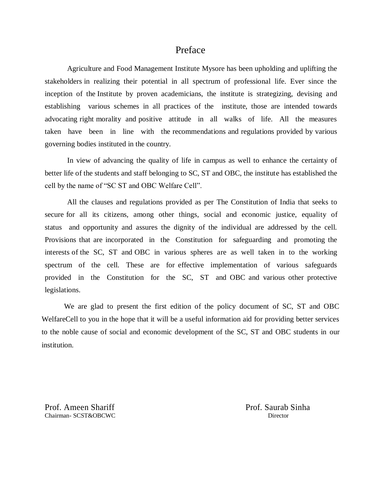### Preface

Agriculture and Food Management Institute Mysore has been upholding and uplifting the stakeholders in realizing their potential in all spectrum of professional life. Ever since the inception of the Institute by proven academicians, the institute is strategizing, devising and establishing various schemes in all practices of the institute, those are intended towards advocating right morality and positive attitude in all walks of life. All the measures taken have been in line with the recommendations and regulations provided by various governing bodies instituted in the country.

In view of advancing the quality of life in campus as well to enhance the certainty of better life of the students and staff belonging to SC, ST and OBC, the institute has established the cell by the name of "SC ST and OBC Welfare Cell".

All the clauses and regulations provided as per The Constitution of India that seeks to secure for all its citizens, among other things, social and economic justice, equality of status and opportunity and assures the dignity of the individual are addressed by the cell. Provisions that are incorporated in the Constitution for safeguarding and promoting the interests of the SC, ST and OBC in various spheres are as well taken in to the working spectrum of the cell. These are for effective implementation of various safeguards provided in the Constitution for the SC, ST and OBC and various other protective legislations.

We are glad to present the first edition of the policy document of SC, ST and OBC WelfareCell to you in the hope that it will be a useful information aid for providing better services to the noble cause of social and economic development of the SC, ST and OBC students in our institution.

Prof. Ameen Shariff Chairman- SCST&OBCWC Prof. Saurab Sinha **Director**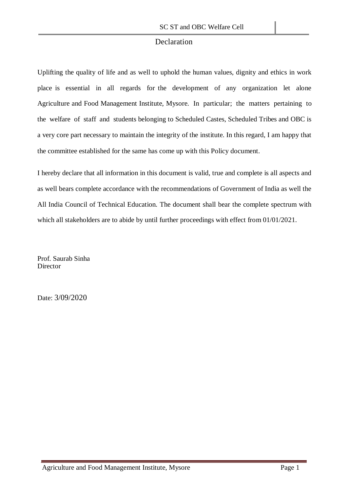### Declaration

Uplifting the quality of life and as well to uphold the human values, dignity and ethics in work place is essential in all regards for the development of any organization let alone Agriculture and Food Management Institute, Mysore. In particular; the matters pertaining to the welfare of staff and students belonging to Scheduled Castes, Scheduled Tribes and OBC is a very core part necessary to maintain the integrity of the institute. In this regard, I am happy that the committee established for the same has come up with this Policy document.

I hereby declare that all information in this document is valid, true and complete is all aspects and as well bears complete accordance with the recommendations of Government of India as well the All India Council of Technical Education. The document shall bear the complete spectrum with which all stakeholders are to abide by until further proceedings with effect from 01/01/2021.

Prof. Saurab Sinha **Director** 

Date: 3/09/2020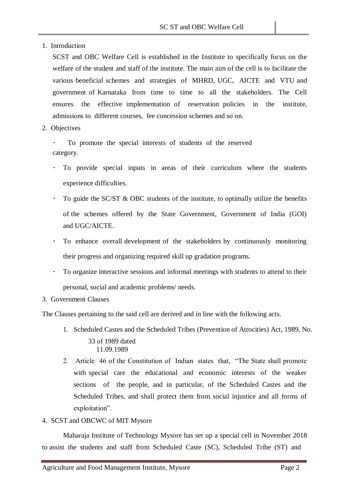1. Introduction

SCST and OBC Welfare Cell is established in the Institute to specifically focus on the welfare of the student and staff of the institute. The main aim of the cell is to facilitate the various beneficial schemes and strategies of MHRD, UGC, AICTE and VTU and government of Karnataka from time to time to all the stakeholders. The Cell ensures the effective implementation of reservation policies in the institute, admissions to different courses, fee concession schemes and so on.

2. Objectives

To promote the special interests of students of the reserved category.

- To provide special inputs in areas of their curriculum where the students experience difficulties.
- $\bullet$ To guide the SC/ST & OBC students of the institute, to optimally utilize the benefits of the schemes offered by the State Government, Government of India (GOI) and UGC/AICTE.
- $\bullet$  . To enhance overall development of the stakeholders by continuously monitoring their progress and organizing required skill up gradation programs.
- To organize interactive sessions and informal meetings with students to attend to their personal, social and academic problems/ needs.
- 3. Government Clauses

The Clauses pertaining to the said cell are derived and in line with the following acts.

- 1. Scheduled Castes and the Scheduled Tribes (Prevention of Atrocities) Act, 1989, No. 33 of 1989 dated 11.09.1989
- 2. Article 46 of the Constitution of Indian states that, "The State shall promote with special care the educational and economic interests of the weaker sections of the people, and in particular, of the Scheduled Castes and the Scheduled Tribes, and shall protect them from social injustice and all forms of exploitation".
- 4. SCST and OBCWC of MIT Mysore

Maharaja Institute of Technology Mysore has set up a special cell in November 2018 to assist the students and staff from Scheduled Caste (SC), Scheduled Tribe (ST) and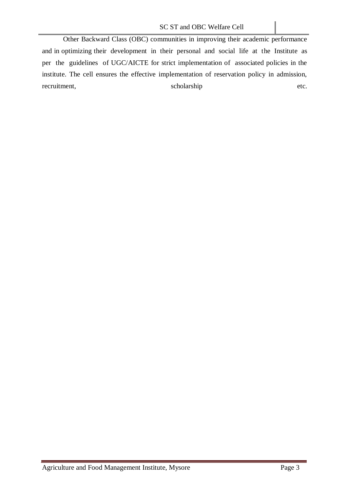Other Backward Class (OBC) communities in improving their academic performance and in optimizing their development in their personal and social life at the Institute as per the guidelines of UGC/AICTE for strict implementation of associated policies in the institute. The cell ensures the effective implementation of reservation policy in admission, recruitment, scholarship etc.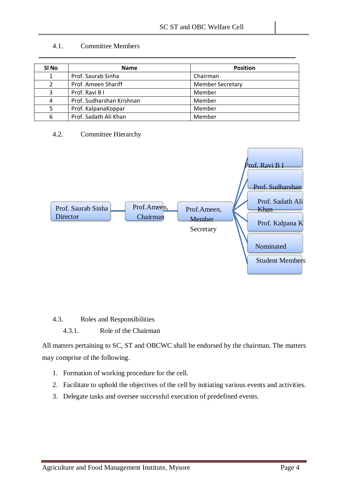### 4.1. Committee Members

| SI No | <b>Name</b>               | <b>Position</b>         |
|-------|---------------------------|-------------------------|
|       | Prof. Saurab Sinha        | Chairman                |
|       | Prof. Ameen Shariff       | <b>Member Secretary</b> |
|       | Prof. Ravi B I            | Member                  |
| 4     | Prof. Sudharshan Krishnan | Member                  |
|       | Prof. KalpanaKoppar       | Member                  |
| 6     | Prof. Sadath Ali Khan     | Member                  |

#### 4.2. Committee Hierarchy



4.3. Roles and Responsibilities

### 4.3.1. Role of the Chairman

All matters pertaining to SC, ST and OBCWC shall be endorsed by the chairman. The matters may comprise of the following.

- 1. Formation of working procedure for the cell.
- 2. Facilitate to uphold the objectives of the cell by initiating various events and activities.
- 3. Delegate tasks and oversee successful execution of predefined events.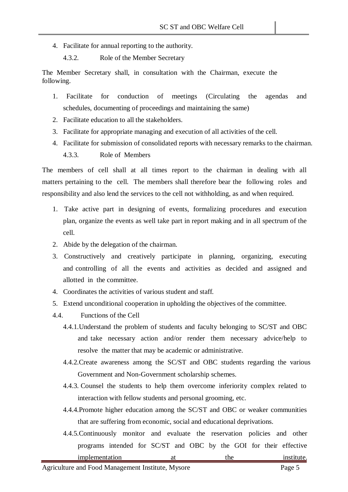- 4. Facilitate for annual reporting to the authority.
	- 4.3.2. Role of the Member Secretary

The Member Secretary shall, in consultation with the Chairman, execute the following.

- 1. Facilitate for conduction of meetings (Circulating the agendas and schedules, documenting of proceedings and maintaining the same)
- 2. Facilitate education to all the stakeholders.
- 3. Facilitate for appropriate managing and execution of all activities of the cell.
- 4. Facilitate for submission of consolidated reports with necessary remarks to the chairman. 4.3.3. Role of Members

The members of cell shall at all times report to the chairman in dealing with all matters pertaining to the cell. The members shall therefore bear the following roles and responsibility and also lend the services to the cell not withholding, as and when required.

- 1. Take active part in designing of events, formalizing procedures and execution plan, organize the events as well take part in report making and in all spectrum of the cell.
- 2. Abide by the delegation of the chairman.
- 3. Constructively and creatively participate in planning, organizing, executing and controlling of all the events and activities as decided and assigned and allotted in the committee.
- 4. Coordinates the activities of various student and staff.
- 5. Extend unconditional cooperation in upholding the objectives of the committee.
- 4.4. Functions of the Cell
	- 4.4.1.Understand the problem of students and faculty belonging to SC/ST and OBC and take necessary action and/or render them necessary advice/help to resolve the matter that may be academic or administrative.
	- 4.4.2.Create awareness among the SC/ST and OBC students regarding the various Government and Non-Government scholarship schemes.
	- 4.4.3. Counsel the students to help them overcome inferiority complex related to interaction with fellow students and personal grooming, etc.
	- 4.4.4.Promote higher education among the SC/ST and OBC or weaker communities that are suffering from economic, social and educational deprivations.
	- 4.4.5.Continuously monitor and evaluate the reservation policies and other programs intended for SC/ST and OBC by the GOI for their effective implementation at the institute.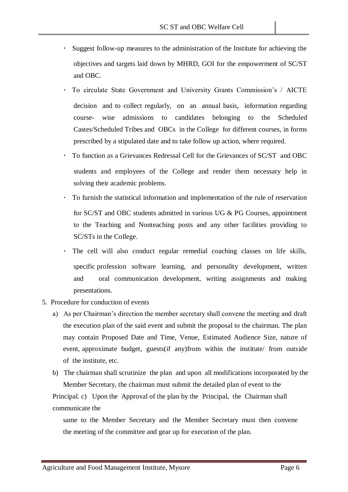- Suggest follow-up measures to the administration of the Institute for achieving the objectives and targets laid down by MHRD, GOI for the empowerment of SC/ST and OBC.
- To circulate State Government and University Grants Commission's / AICTE decision and to collect regularly, on an annual basis, information regarding course- wise admissions to candidates belonging to the Scheduled Castes/Scheduled Tribes and OBCs in the College for different courses, in forms prescribed by a stipulated date and to take follow up action, where required.
- To function as a Grievances Redressal Cell for the Grievances of SC/ST and OBC students and employees of the College and render them necessary help in solving their academic problems.
- To furnish the statistical information and implementation of the rule of reservation for SC/ST and OBC students admitted in various UG & PG Courses, appointment to the Teaching and Nonteaching posts and any other facilities providing to SC/STs in the College.
- The cell will also conduct regular remedial coaching classes on life skills, specific profession software learning, and personality development, written and oral communication development, writing assignments and making presentations.
- 5. Procedure for conduction of events
	- a) As per Chairman's direction the member secretary shall convene the meeting and draft the execution plan of the said event and submit the proposal to the chairman. The plan may contain Proposed Date and Time, Venue, Estimated Audience Size, nature of event, approximate budget, guests(if any)from within the institute/ from outside of the institute, etc.
	- b) The chairman shall scrutinize the plan and upon all modifications incorporated by the Member Secretary, the chairman must submit the detailed plan of event to the

Principal. c) Upon the Approval of the plan by the Principal, the Chairman shall communicate the

same to the Member Secretary and the Member Secretary must then convene the meeting of the committee and gear up for execution of the plan.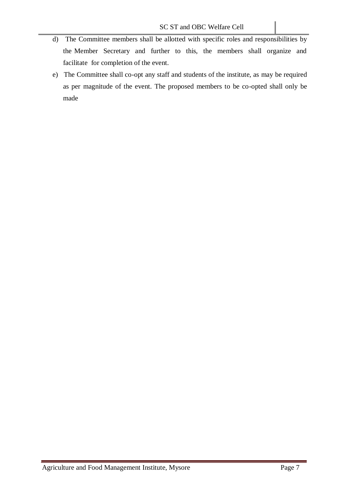- d) The Committee members shall be allotted with specific roles and responsibilities by the Member Secretary and further to this, the members shall organize and facilitate for completion of the event.
- e) The Committee shall co-opt any staff and students of the institute, as may be required as per magnitude of the event. The proposed members to be co-opted shall only be made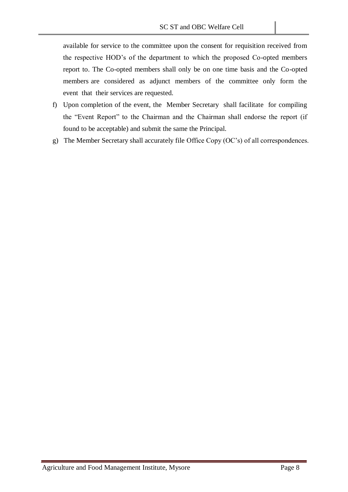available for service to the committee upon the consent for requisition received from the respective HOD's of the department to which the proposed Co-opted members report to. The Co-opted members shall only be on one time basis and the Co-opted members are considered as adjunct members of the committee only form the event that their services are requested.

- f) Upon completion of the event, the Member Secretary shall facilitate for compiling the "Event Report" to the Chairman and the Chairman shall endorse the report (if found to be acceptable) and submit the same the Principal.
- g) The Member Secretary shall accurately file Office Copy (OC's) of all correspondences.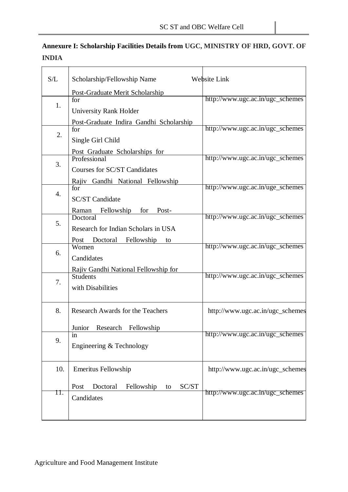| Annexure I: Scholarship Facilities Details from UGC, MINISTRY OF HRD, GOVT. OF |  |
|--------------------------------------------------------------------------------|--|
| <b>INDIA</b>                                                                   |  |

| S/L | Scholarship/Fellowship Name                                              | Website Link                     |
|-----|--------------------------------------------------------------------------|----------------------------------|
| 1.  | Post-Graduate Merit Scholarship<br>for                                   | http://www.ugc.ac.in/ugc_schemes |
|     | <b>University Rank Holder</b><br>Post-Graduate Indira Gandhi Scholarship |                                  |
| 2.  | for<br>Single Girl Child                                                 | http://www.ugc.ac.in/ugc_schemes |
|     | Post Graduate Scholarships for<br>Professional                           | http://www.ugc.ac.in/ugc_schemes |
| 3.  | Courses for SC/ST Candidates<br>Rajiv Gandhi National Fellowship         |                                  |
| 4.  | for<br><b>SC/ST Candidate</b>                                            | http://www.ugc.ac.in/uge_schemes |
|     | <b>Fellowship</b><br>for<br>Post-<br>Raman<br>Doctoral                   | http://www.ugc.ac.in/ugc_schemes |
| 5.  | Research for Indian Scholars in USA                                      |                                  |
| 6.  | Post Doctoral<br>Fellowship<br>to<br>Women<br>Candidates                 | http://www.ugc.ac.in/ugc_schemes |
|     | Rajiv Gandhi National Fellowship for<br><b>Students</b>                  | http://www.ugc.ac.in/ugc_schemes |
| 7.  | with Disabilities                                                        |                                  |
| 8.  | <b>Research Awards for the Teachers</b>                                  | http://www.ugc.ac.in/ugc_schemes |
|     | Junior<br>Research<br>Fellowship<br>in                                   | http://www.ugc.ac.in/ugc_schemes |
| 9.  | Engineering & Technology                                                 |                                  |
| 10. | <b>Emeritus Fellowship</b>                                               | http://www.ugc.ac.in/ugc_schemes |
| Π.  | SC/ST<br>Post<br>Doctoral<br>Fellowship<br>to<br>Candidates              | http://www.ugc.ac.in/ugc_schemes |
|     |                                                                          |                                  |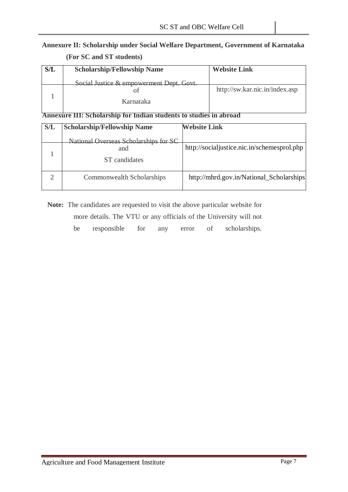## **Annexure II: Scholarship under Social Welfare Department, Government of Karnataka (For SC and ST students)**

| S/L | <b>Scholarship/Fellowship Name</b>       | <b>Website Link</b>            |
|-----|------------------------------------------|--------------------------------|
|     | Social Justice & empowerment Dept. Govt. |                                |
|     |                                          | http://sw.kar.nic.in/index.asp |
|     | Karnataka                                |                                |
|     |                                          |                                |

### **Annexure III: Scholarship for Indian students to studies in abroad**

| S/L | <b>Scholarship/Fellowship Name</b>                            | <b>Website Link</b>                         |
|-----|---------------------------------------------------------------|---------------------------------------------|
|     | National Overseas Scholarships for SC<br>and<br>ST candidates | http://socialjustice.nic.in/schemesprol.php |
|     | Commonwealth Scholarships                                     | http://mhrd.gov.in/National_Scholarships    |

**Note:** The candidates are requested to visit the above particular website for more details. The VTU or any officials of the University will not be responsible for any error of scholarships.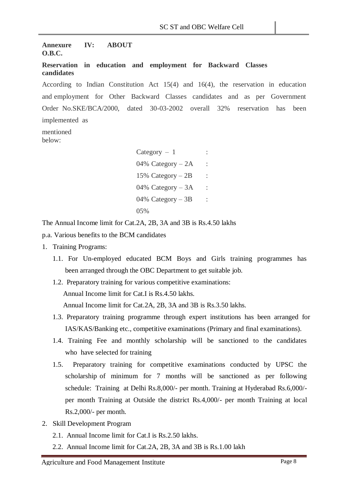#### **Annexure IV: ABOUT O.B.C.**

#### **Reservation in education and employment for Backward Classes candidates**

According to Indian Constitution Act 15(4) and 16(4), the reservation in education and employment for Other Backward Classes candidates and as per Government Order No.SKE/BCA/2000, dated 30-03-2002 overall 32% reservation has been implemented as

mentioned below:

> $Category - 1$  : 04% Category  $-2A$ 15% Category  $-2B$  : 04% Category  $-3A$  : 04% Category  $-3B$  : 05%

The Annual Income limit for Cat.2A, 2B, 3A and 3B is Rs.4.50 lakhs

p.a. Various benefits to the BCM candidates

- 1. Training Programs:
	- 1.1. For Un-employed educated BCM Boys and Girls training programmes has been arranged through the OBC Department to get suitable job.
	- 1.2. Preparatory training for various competitive examinations: Annual Income limit for Cat.I is Rs.4.50 lakhs. Annual Income limit for Cat.2A, 2B, 3A and 3B is Rs.3.50 lakhs.
	- 1.3. Preparatory training programme through expert institutions has been arranged for IAS/KAS/Banking etc., competitive examinations (Primary and final examinations).
	- 1.4. Training Fee and monthly scholarship will be sanctioned to the candidates who have selected for training
	- 1.5. Preparatory training for competitive examinations conducted by UPSC the scholarship of minimum for 7 months will be sanctioned as per following schedule: Training at Delhi Rs.8,000/- per month. Training at Hyderabad Rs.6,000/ per month Training at Outside the district Rs.4,000/- per month Training at local Rs.2,000/- per month.
- 2. Skill Development Program
	- 2.1. Annual Income limit for Cat.I is Rs.2.50 lakhs.
	- 2.2. Annual Income limit for Cat.2A, 2B, 3A and 3B is Rs.1.00 lakh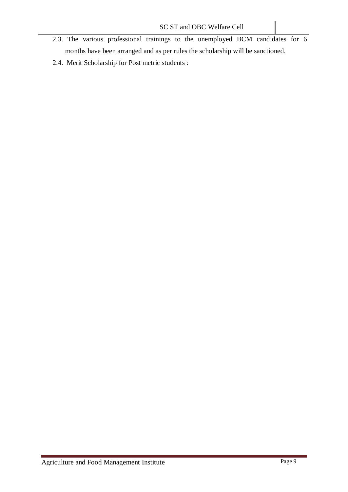- 2.3. The various professional trainings to the unemployed BCM candidates for 6 months have been arranged and as per rules the scholarship will be sanctioned.
- 2.4. Merit Scholarship for Post metric students :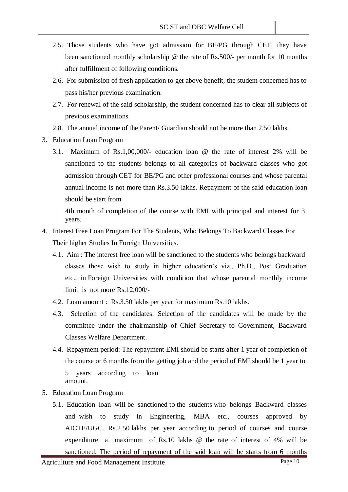- 2.5. Those students who have got admission for BE/PG through CET, they have been sanctioned monthly scholarship @ the rate of Rs.500/- per month for 10 months after fulfillment of following conditions.
- 2.6. For submission of fresh application to get above benefit, the student concerned has to pass his/her previous examination.
- 2.7. For renewal of the said scholarship, the student concerned has to clear all subjects of previous examinations.
- 2.8. The annual income of the Parent/ Guardian should not be more than 2.50 lakhs.
- 3. Education Loan Program
	- 3.1. Maximum of Rs.1,00,000/- education loan @ the rate of interest 2% will be sanctioned to the students belongs to all categories of backward classes who got admission through CET for BE/PG and other professional courses and whose parental annual income is not more than Rs.3.50 lakhs. Repayment of the said education loan should be start from

4th month of completion of the course with EMI with principal and interest for 3 years.

- 4. Interest Free Loan Program For The Students, Who Belongs To Backward Classes For Their higher Studies In Foreign Universities.
	- 4.1. Aim : The interest free loan will be sanctioned to the students who belongs backward classes those wish to study in higher education's viz., Ph.D., Post Graduation etc., in Foreign Universities with condition that whose parental monthly income limit is not more Rs.12,000/-
	- 4.2. Loan amount : Rs.3.50 lakhs per year for maximum Rs.10 lakhs.
	- 4.3. Selection of the candidates: Selection of the candidates will be made by the committee under the chairmanship of Chief Secretary to Government, Backward Classes Welfare Department.
	- 4.4. Repayment period: The repayment EMI should be starts after 1 year of completion of the course or 6 months from the getting job and the period of EMI should be 1 year to 5 years according to loan amount.
- 5. Education Loan Program
	- 5.1. Education loan will be sanctioned to the students who belongs Backward classes and wish to study in Engineering, MBA etc., courses approved by AICTE/UGC. Rs.2.50 lakhs per year according to period of courses and course expenditure a maximum of Rs.10 lakhs @ the rate of interest of 4% will be sanctioned. The period of repayment of the said loan will be starts from 6 months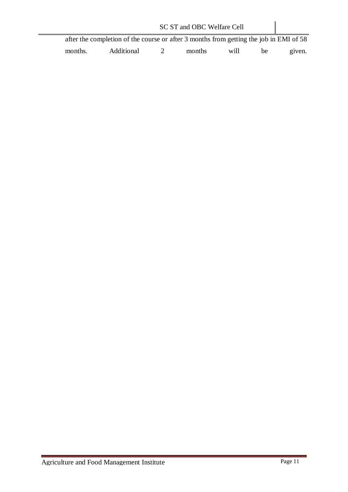| SC ST and OBC Welfare Cell |                                                                                        |  |        |      |     |        |  |  |  |
|----------------------------|----------------------------------------------------------------------------------------|--|--------|------|-----|--------|--|--|--|
|                            | after the completion of the course or after 3 months from getting the job in EMI of 58 |  |        |      |     |        |  |  |  |
| months.                    | Additional                                                                             |  | months | will | he. | given. |  |  |  |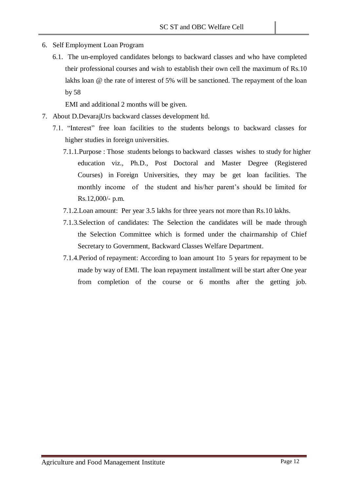- 6. Self Employment Loan Program
	- 6.1. The un-employed candidates belongs to backward classes and who have completed their professional courses and wish to establish their own cell the maximum of Rs.10 lakhs loan @ the rate of interest of 5% will be sanctioned. The repayment of the loan by 58

EMI and additional 2 months will be given.

- 7. About D.DevarajUrs backward classes development ltd.
	- 7.1. "Interest" free loan facilities to the students belongs to backward classes for higher studies in foreign universities.
		- 7.1.1.Purpose : Those students belongs to backward classes wishes to study for higher education viz., Ph.D., Post Doctoral and Master Degree (Registered Courses) in Foreign Universities, they may be get loan facilities. The monthly income of the student and his/her parent's should be limited for Rs.12,000/- p.m.
		- 7.1.2.Loan amount: Per year 3.5 lakhs for three years not more than Rs.10 lakhs.
		- 7.1.3.Selection of candidates: The Selection the candidates will be made through the Selection Committee which is formed under the chairmanship of Chief Secretary to Government, Backward Classes Welfare Department.
		- 7.1.4.Period of repayment: According to loan amount 1to 5 years for repayment to be made by way of EMI. The loan repayment installment will be start after One year from completion of the course or 6 months after the getting job.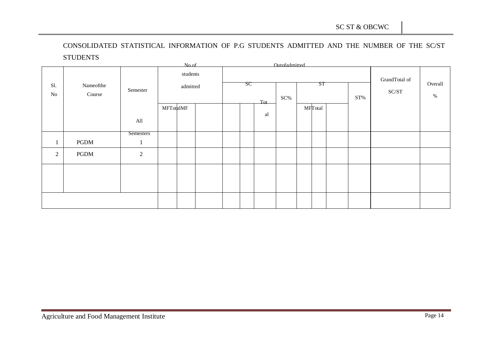CONSOLIDATED STATISTICAL INFORMATION OF P.G STUDENTS ADMITTED AND THE NUMBER OF THE SC/ST **STUDENTS** 

| No.of           |                     |                  |           |                      |  |                                                     |  |    | Outofadmitted |  |         |                        |                 |  |  |
|-----------------|---------------------|------------------|-----------|----------------------|--|-----------------------------------------------------|--|----|---------------|--|---------|------------------------|-----------------|--|--|
| Sl.<br>$\rm No$ | Nameofthe<br>Course | Semester         |           | students<br>admitted |  | SC<br>ST<br>$SC\%$<br>$\mathrm{ST}\%$<br><b>Tot</b> |  |    |               |  |         | GrandTotal of<br>SC/ST | Overall<br>$\%$ |  |  |
|                 |                     | All              | MFTotalMF |                      |  |                                                     |  | al |               |  | MFTotal |                        |                 |  |  |
|                 |                     | <b>Semesters</b> |           |                      |  |                                                     |  |    |               |  |         |                        |                 |  |  |
| -1              | PGDM                | $\perp$          |           |                      |  |                                                     |  |    |               |  |         |                        |                 |  |  |
| 2               | PGDM                | $\overline{2}$   |           |                      |  |                                                     |  |    |               |  |         |                        |                 |  |  |
|                 |                     |                  |           |                      |  |                                                     |  |    |               |  |         |                        |                 |  |  |
|                 |                     |                  |           |                      |  |                                                     |  |    |               |  |         |                        |                 |  |  |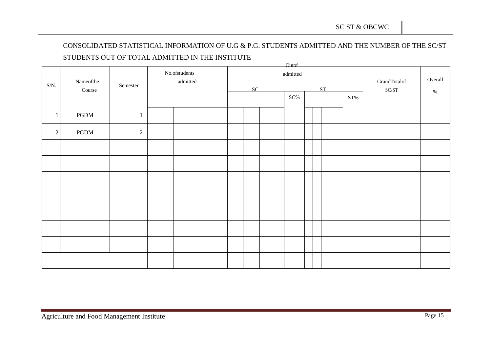# CONSOLIDATED STATISTICAL INFORMATION OF U.G & P.G. STUDENTS ADMITTED AND THE NUMBER OF THE SC/ST STUDENTS OUT OF TOTAL ADMITTED IN THE INSTITUTE

|              |                         |                  |                       |          |  |    |                    | <b>Outof</b> |         |    |                 |                           |      |
|--------------|-------------------------|------------------|-----------------------|----------|--|----|--------------------|--------------|---------|----|-----------------|---------------------------|------|
|              | Nameofthe               |                  | $\rm No. of students$ |          |  |    | $\;$ admitted $\;$ |              | Overall |    |                 |                           |      |
| $S/N$ .      |                         | ${\bf Semester}$ |                       | admitted |  |    |                    |              |         |    |                 | GrandTotalof              |      |
|              | $\operatorname{Course}$ |                  |                       |          |  | SC |                    |              |         | ST |                 | $\mathbf{SC}/\mathbf{ST}$ | $\%$ |
|              |                         |                  |                       |          |  |    |                    | $SC\%$       |         |    | $\mathrm{ST}\%$ |                           |      |
|              |                         |                  |                       |          |  |    |                    |              |         |    |                 |                           |      |
| $\mathbf{1}$ | $\operatorname{PGDM}$   | $\mathbf{1}$     |                       |          |  |    |                    |              |         |    |                 |                           |      |
|              |                         |                  |                       |          |  |    |                    |              |         |    |                 |                           |      |
| 2            | PGDM                    | $\sqrt{2}$       |                       |          |  |    |                    |              |         |    |                 |                           |      |
|              |                         |                  |                       |          |  |    |                    |              |         |    |                 |                           |      |
|              |                         |                  |                       |          |  |    |                    |              |         |    |                 |                           |      |
|              |                         |                  |                       |          |  |    |                    |              |         |    |                 |                           |      |
|              |                         |                  |                       |          |  |    |                    |              |         |    |                 |                           |      |
|              |                         |                  |                       |          |  |    |                    |              |         |    |                 |                           |      |
|              |                         |                  |                       |          |  |    |                    |              |         |    |                 |                           |      |
|              |                         |                  |                       |          |  |    |                    |              |         |    |                 |                           |      |
|              |                         |                  |                       |          |  |    |                    |              |         |    |                 |                           |      |
|              |                         |                  |                       |          |  |    |                    |              |         |    |                 |                           |      |
|              |                         |                  |                       |          |  |    |                    |              |         |    |                 |                           |      |
|              |                         |                  |                       |          |  |    |                    |              |         |    |                 |                           |      |
|              |                         |                  |                       |          |  |    |                    |              |         |    |                 |                           |      |
|              |                         |                  |                       |          |  |    |                    |              |         |    |                 |                           |      |
|              |                         |                  |                       |          |  |    |                    |              |         |    |                 |                           |      |
|              |                         |                  |                       |          |  |    |                    |              |         |    |                 |                           |      |
|              |                         |                  |                       |          |  |    |                    |              |         |    |                 |                           |      |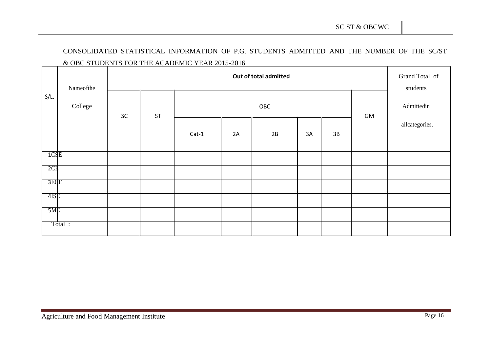# CONSOLIDATED STATISTICAL INFORMATION OF P.G. STUDENTS ADMITTED AND THE NUMBER OF THE SC/ST & OBC STUDENTS FOR THE ACADEMIC YEAR 2015-2016

|         | Nameofthe |    | Grand Total of<br>students |         |    |    |            |      |  |                |
|---------|-----------|----|----------------------------|---------|----|----|------------|------|--|----------------|
| $S/L$ . | College   | SC | <b>ST</b>                  |         |    | GM | Admittedin |      |  |                |
|         |           |    |                            | $Cat-1$ | 2A | 2B | 3A         | $3B$ |  | allcategories. |
| TCSE    |           |    |                            |         |    |    |            |      |  |                |
| 2C      |           |    |                            |         |    |    |            |      |  |                |
| 3ECE    |           |    |                            |         |    |    |            |      |  |                |
| 4ISE    |           |    |                            |         |    |    |            |      |  |                |
| 5ME     |           |    |                            |         |    |    |            |      |  |                |
|         | Total :   |    |                            |         |    |    |            |      |  |                |